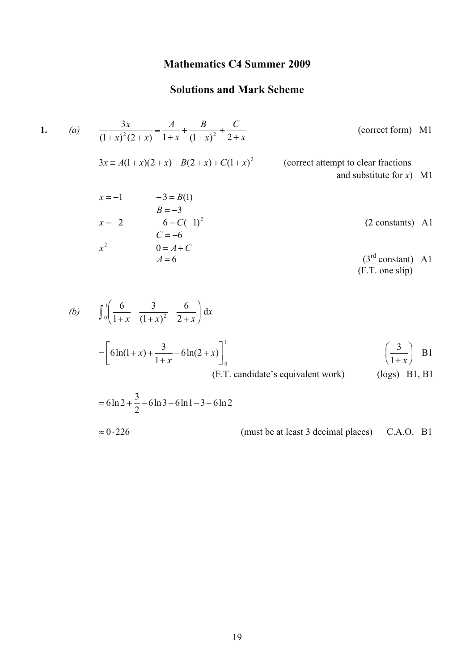## **Mathematics C4 Summer 2009**

## **Solutions and Mark Scheme**

1. (a) 
$$
\frac{3x}{(1+x)^2(2+x)} = \frac{A}{1+x} + \frac{B}{(1+x)^2} + \frac{C}{2+x}
$$
 (correct form) M1  
\n
$$
3x = A(1+x)(2+x) + B(2+x) + C(1+x)^2
$$
 (correct attempt to clear fractions and substitute for x) M1  
\n
$$
x = -1
$$
 -3 = B(1)  
\n
$$
B = -3
$$
  
\n
$$
x = -2
$$
 -6 = C(-1)<sup>2</sup>  
\n
$$
C = -6
$$
 (2 constants) A1  
\n
$$
A = 6
$$
 (3<sup>rd</sup> constant) A1  
\n(F.T. one slip)  
\n(b) 
$$
\int_0^1 \left(\frac{6}{1+x} - \frac{3}{(1+x)^2} - \frac{6}{2+x}\right) dx
$$
  
\n
$$
= \left[6\ln(1+x) + \frac{3}{1+x} - 6\ln(2+x)\right]_0^1
$$
 (F.T. candidate's equivalent work) (logs) B1, B1  
\n
$$
= 6\ln 2 + \frac{3}{2} - 6\ln 3 - 6\ln 1 - 3 + 6\ln 2
$$
 (must be at least 3 decimal places) C.A.O. B1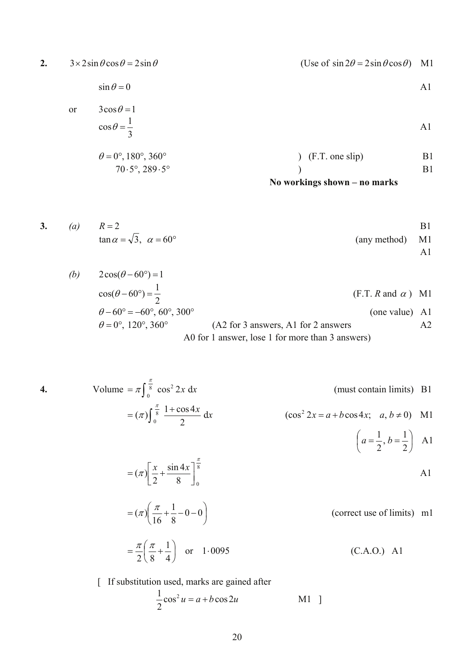**2.**  $3 \times 2 \sin \theta \cos \theta = 2 \sin \theta$  (Use of  $\sin 2\theta = 2 \sin \theta \cos \theta$ ) M1

 $\sin \theta = 0$  A1

or 
$$
3\cos\theta = 1
$$
  
\n $\cos\theta = \frac{1}{3}$  A1  
\n $\theta = 0^{\circ}, 180^{\circ}, 360^{\circ}$  (F.T. one slip) B1

70 ) B1 ⋅5°, 289⋅5°

**No workings shown – no marks** 

3. (a) 
$$
R=2
$$
  
\n $\tan \alpha = \sqrt{3}, \ \alpha = 60^{\circ}$  (any method) M1  
\nA1

(b) 
$$
2\cos(\theta - 60^\circ) = 1
$$
  
\n $\cos(\theta - 60^\circ) = \frac{1}{2}$  (F.T. *R* and  $\alpha$ ) M1  
\n $\theta - 60^\circ = -60^\circ$ , 60°, 300° (one value) A1  
\n $\theta = 0^\circ$ , 120°, 360° (A2 for 3 answers, A1 for 2 answers  
\nA0 for 1 answer, lose 1 for more than 3 answers)

4. Volume = 
$$
\pi \int_0^{\frac{\pi}{8}} \cos^2 2x \, dx
$$
 (must contain limits) B1  
\n=  $(\pi) \int_0^{\frac{\pi}{8}} \frac{1 + \cos 4x}{2} \, dx$  (cos<sup>2</sup> 2x = a + b cos 4x; a, b \ne 0) M1  
\n $\left(a = \frac{1}{2}, b = \frac{1}{2}\right)$  A1  
\n=  $(\pi) \left[\frac{x}{2} + \frac{\sin 4x}{8}\right]_0^{\frac{\pi}{8}}$  A1

 $=(\pi)\left(\frac{\pi}{16}+\frac{1}{2}-0-0\right)$ ⎠  $\left(\frac{\pi}{16} + \frac{1}{2} - 0 - 0\right)$ ⎝  $=(\pi)\left(\frac{\pi}{16}+\frac{1}{2}-0-0\right)$ 8  $(\pi) \left( \frac{\pi}{16} + \frac{1}{8} \right)$ (correct use of limits) m1

$$
= \frac{\pi}{2} \left( \frac{\pi}{8} + \frac{1}{4} \right) \quad \text{or} \quad 1.0095 \tag{C.A.O.) A1}
$$

[ If substitution used, marks are gained after

$$
\frac{1}{2}\cos^2 u = a + b\cos 2u \qquad \qquad \text{M1} \quad ]
$$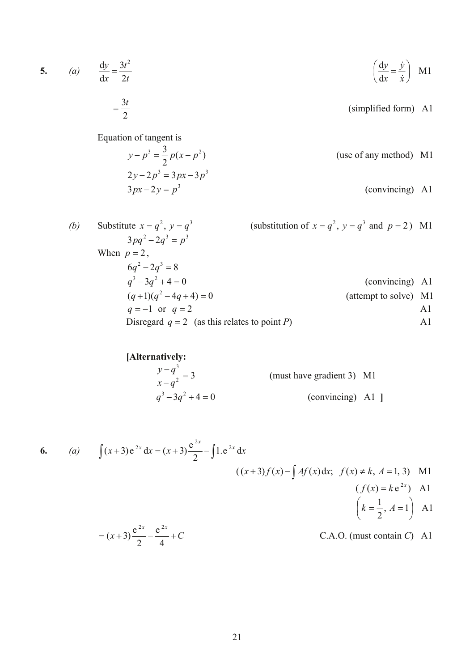5. (a) 
$$
\frac{dy}{dx} = \frac{3t^2}{2t}
$$
 M1

$$
=\frac{3t}{2}
$$
 (simplified form) A1

Equation of tangent is

$$
y - p3 = \frac{3}{2}p(x - p2)
$$
 (use of any method) M1  
2y-2p<sup>3</sup> = 3px-3p<sup>3</sup>  
3px-2y = p<sup>3</sup> (convincing) A1

(b) Substitute 
$$
x = q^2
$$
,  $y = q^3$  (substitution of  $x = q^2$ ,  $y = q^3$  and  $p = 2$ ) M1

\nWhen  $p = 2$ ,

\n
$$
6q^2 - 2q^3 = 8
$$
\n
$$
q^3 - 3q^2 + 4 = 0
$$
\n
$$
(q+1)(q^2 - 4q + 4) = 0
$$
\n
$$
q = -1 \text{ or } q = 2
$$
\n(conving)

\n(a  $q = 2$  in the interval  $q = 2$  in the interval  $q = 2$  in the interval  $q = 2$  in the interval  $q = 2$  in the interval  $q = 2$  in the interval  $q = 2$  in the interval  $q = 2$  in the interval  $q = 2$  in the interval  $q = 2$  in the interval  $q = 2$  in the interval  $q = 2$  in the interval  $q = 2$  in the interval  $q = 2$  in the interval  $q = 2$  in the interval  $q = 2$  in the interval  $q = 2$  in the interval  $q = 2$  in the interval  $q = 2$  in the interval  $q = 2$  in the interval  $q = 2$  in the interval  $q = 2$  in the interval  $q = 2$  in the interval  $q = 2$  in the interval  $q = 2$  in the interval  $q = 2$  in the interval  $q = 2$  in the interval  $q = 2$  in the interval  $q = 2$  in the interval  $q = 2$  in the interval  $q = 2$  in the interval  $q = 2$  in the interval  $q = 2$  in the interval  $q = 2$  in the interval  $q = 2$  in the interval  $q = 2$  in the interval  $q = 2$  in the interval  $q = 2$  in the interval  $q = 2$  in the interval  $q = 2$  in the interval  $q = 2$  in the interval  $q = 2$  in the interval  $q = 2$  in the interval  $q = 2$  in the interval  $$ 

[Alternative]:  
\n
$$
\frac{y - q^3}{x - q^2} = 3
$$
 (must have gradient 3) M1  
\n
$$
q^3 - 3q^2 + 4 = 0
$$
 (convincing) A1 ]

6. (a) 
$$
\int (x+3)e^{2x} dx = (x+3)\frac{e^{2x}}{2} - \int 1 \cdot e^{2x} dx
$$
  
\n
$$
((x+3)f(x) - \int Af(x) dx; \quad f(x) \neq k, A = 1, 3)
$$
 M1  
\n
$$
(f(x) = k e^{2x})
$$
 A1  
\n
$$
k = \frac{1}{2}, A = 1
$$
 A1  
\nC.A.O. (must contain C) A1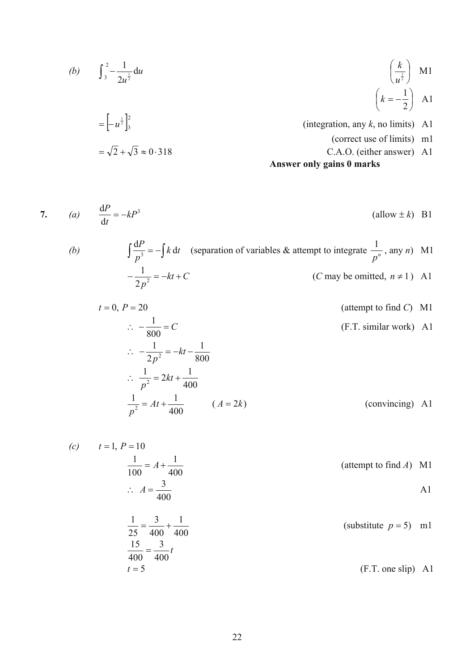(b) 
$$
\int_{3}^{2} -\frac{1}{2u^{\frac{1}{2}}} du
$$

$$
= \left[ -u^{\frac{1}{2}} \right]_{3}^{2}
$$

$$
(integration, any k, no limits) A1
$$

$$
= \sqrt{2} + \sqrt{3} \approx 0.318
$$
 (correct use of limits) m1  
C.A.O. (either answer) A1  
Answer only gains 0 marks

7. (a) 
$$
\frac{dP}{dt} = -kP^3
$$
 (allow  $\pm k$ ) B1

(b) 
$$
\int \frac{dP}{p^3} = -\int k dt
$$
 (separation of variables & attempt to integrate  $\frac{1}{p^n}$ , any *n*) M1  $-\frac{1}{2p^2} = -kt + C$  (*C* may be omitted,  $n \neq 1$ ) A1

$$
t = 0, P = 20
$$
 (attempt to find C) M1  
\n
$$
\therefore -\frac{1}{800} = C
$$
 (F.T. similar work) A1  
\n
$$
\therefore -\frac{1}{2p^2} = -kt - \frac{1}{800}
$$
  
\n
$$
\therefore \frac{1}{p^2} = 2kt + \frac{1}{400}
$$
 (A = 2k) (convincing) A1

(c) 
$$
t = 1, P = 10
$$
  
\n
$$
\frac{1}{100} = A + \frac{1}{400}
$$
\n
$$
\therefore A = \frac{3}{400}
$$
\n
$$
\frac{1}{25} = \frac{3}{400} + \frac{1}{400}
$$
\n(ditempt to find A) M1  
\n
$$
\frac{1}{25} = \frac{3}{400} + \frac{1}{400}
$$
\n(ditempt to find A) M1  
\n
$$
\frac{15}{25} = \frac{3}{400}t
$$
\n(ditempt to find A) M1  
\n(ditempt to find A) M1  
\n(ditempt to find A) M1  
\n(ditempt to find A) M1  
\n(ditempt to find A) M1  
\n(e. T. one slip) A1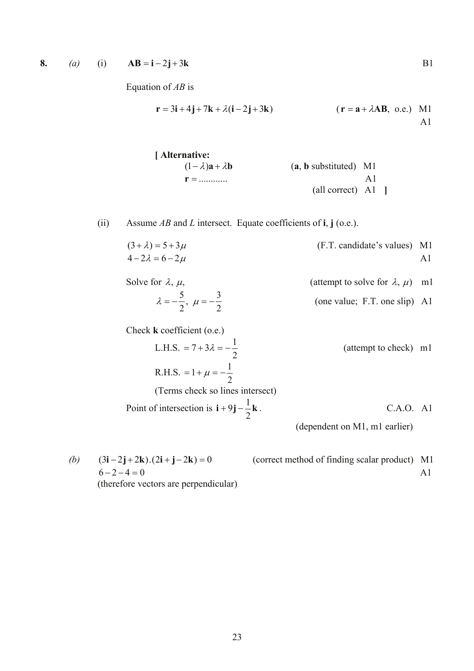**8.** *(a)* (i)  $AB = i - 2j + 3k$  B1

Equation of *AB* is

$$
\mathbf{r} = 3\mathbf{i} + 4\mathbf{j} + 7\mathbf{k} + \lambda(\mathbf{i} - 2\mathbf{j} + 3\mathbf{k}) \qquad (\mathbf{r} = \mathbf{a} + \lambda \mathbf{AB}, \text{ o.e.}) \quad \text{M1}
$$

A1

| [ Alternative:                                 |                                                      |
|------------------------------------------------|------------------------------------------------------|
| $(1 - \lambda)\mathbf{a} + \lambda \mathbf{b}$ | $(a, b$ substituted) M1                              |
| $\mathbf{r} = \dots \dots \dots$               | ΑI                                                   |
|                                                | (all correct) $\begin{bmatrix} 1 \\ 1 \end{bmatrix}$ |

(ii) Assume *AB* and *L* intersect. Equate coefficients of **i**, **j** (o.e.).

 $(3 + \lambda) = 5 + 3\mu$  (F.T. candidate's values) M1  $4 - 2\lambda = 6 - 2\mu$  A1

Solve for  $\lambda$ ,  $\mu$ , (attempt to solve for  $\lambda$ ,  $\mu$ ) m1  $\lambda = -\frac{5}{2}, \mu = -\frac{3}{2}$ 2  $(one value; F.T. one slip)$  A1

 Check **k** coefficient (o.e.) L.H.S. 2  $= 7 + 3\lambda = -\frac{1}{2}$  (attempt to check) m1 R.H.S. 2  $= 1 + \mu = -\frac{1}{2}$  (Terms check so lines intersect) Point of intersection is  $\mathbf{i} + 9\mathbf{j} - \frac{1}{6}\mathbf{k}$ 2  $+9j-\frac{1}{6}k$ . C.A.O. A1 (dependent on M1, m1 earlier)

*(b)* (3**i** − 2**j**+ 2**k**).(2**i** + **j**− 2**k**) = 0 (correct method of finding scalar product) M1  $6 - 2 - 4 = 0$  A1 (therefore vectors are perpendicular)